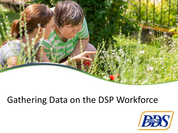

## Gathering Data on the DSP Workforce

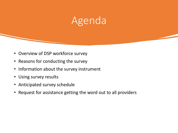# Agenda

- Overview of DSP workforce survey
- Reasons for conducting the survey
- Information about the survey instrument
- Using survey results
- Anticipated survey schedule
- Request for assistance getting the word out to all providers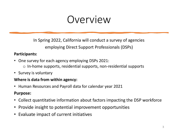# Overview

In Spring 2022, California will conduct a survey of agencies employing Direct Support Professionals (DSPs)

#### **Participants:**

- One survey for each agency employing DSPs 2021:
	- o In-home supports, residential supports, non-residential supports
- Survey is voluntary

#### **Where is data from within agency:**

• Human Resources and Payroll data for calendar year 2021

#### **Purpose:**

- Collect quantitative information about factors impacting the DSP workforce
- Provide insight to potential improvement opportunities
- Evaluate impact of current initiatives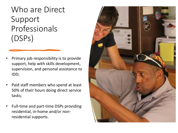Who are Direct Support Professionals (DSPs)

- Primary job responsibility is to provide support, help with skills development, supervision, and personal assistance to IDD;
- Paid staff members who spend at least 50% of their hours doing direct service tasks;
- Full-time and part-time DSPs providing residential, in-home and/or nonresidential supports.

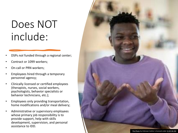# Does NOT include:

- DSPs *not* funded through a regional center;
- Contract or 1099 workers;
- On-call or PRN workers;
- Employees hired through a temporary personnel agency;
- Clinically licensed or certified employees (therapists, nurses, social workers, psychologists, behavior specialists or behavior technicians, etc.);
- Employees only providing transportation, home modifications and/or meal delivery;
- Administrative or supervisory employees whose primary job responsibility is to provide support, help with skills development, supervision, and personal assistance to IDD.

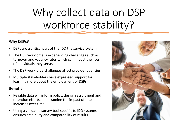# Why collect data on DSP workforce stability?

#### Why DSPs?

- DSPs are a critical part of the IDD the service system.
- The DSP workforce is experiencing challenges such as turnover and vacancy rates which can impact the lives of individuals they serve.
- The DSP workforce challenges affect provider agencies.
- Multiple stakeholders have expressed support for learning more about the employment of DSPs.

#### Benefit

- Reliable data will inform policy, design recruitment and retention efforts, and examine the impact of rate increases over time.
- Using a validated survey tool specific to IDD systems ensures credibility and comparability of results.

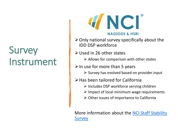# **Survey** Instrument



- $\triangleright$  Only national survey specifically about the IDD DSP workforce
- ➢Used in 26 other states
	- $\triangleright$  Allows for comparison with other states
- $\triangleright$  In use for more than 5 years
	- $\triangleright$  Survey has evolved based on provider input
- ➢Has been tailored for California
	- ➢ Includes DSP workforce serving children
	- $\triangleright$  Impact of local minimum wage requirements
	- ➢ Other issues of importance to California

[More information about the NCI Staff Stability](https://www.nationalcoreindicators.org/staff-stability-survey/) **Survey**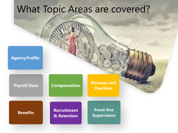## What Topic Areas are covered?

#### **Agency Profile**

#### **Payroll Data Compensation**

**Bonuses and Overtime**

**Benefits Recruitment & Retention**

**Front-line Supervisors**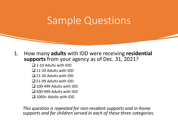# Sample Questions

#### 1. How many **adults** with IDD were receiving **residential supports** from your agency as of Dec. 31, 2021?

- ❑ 1-10 Adults with IDD
- ❑ 11-20 Adults with IDD
- ❑ 21-50 Adults with IDD
- ❑ 51-99 Adults with IDD
- ❑ 100-499 Adults with IDD
- ❑ 500-999 Adults with IDD
- ❑ 1000+ Adults with IDD

*This question is repeated for non-resident supports and in-home supports and for children served in each of these three categories.*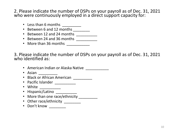2. Please indicate the number of DSPs on your payroll as of Dec. 31, 2021 who were continuously employed in a direct support capacity for:

- Less than 6 months \_\_\_\_\_\_\_\_\_
- Between 6 and 12 months \_\_\_\_\_\_\_
- Between 12 and 24 months \_\_\_\_\_\_\_\_\_\_
- Between 24 and 36 months \_\_\_\_\_\_\_\_\_
- More than 36 months

3. Please indicate the number of DSPs on your payroll as of Dec. 31, 2021 who identified as:

- American Indian or Alaska Native \_\_\_\_\_\_\_\_\_\_\_
- Asian  $\frac{1}{\sqrt{1-\frac{1}{2}}}\cdot$
- Black or African American \_\_\_\_\_\_\_\_\_
- Pacific Islander \_\_\_\_\_\_\_\_\_\_
- White \_\_\_\_\_\_\_\_\_\_\_
- Hispanic/Latino \_\_\_\_\_\_\_\_\_\_\_
- More than one race/ethnicity
- Other race/ethnicity \_\_\_\_\_\_\_\_
- Don't know \_\_\_\_\_\_\_\_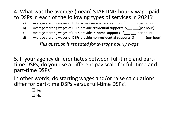### 4. What was the average (mean) STARTING hourly wage paid to DSPs in each of the following types of services in 2021?

- a) Average starting wages of DSPs across services and settings  $\zeta$  (per hour)
- b) Average starting wages of DSPs provide **residential supports** \$\_\_\_.\_\_\_(per hour)
- c) Average starting wages of DSPs provide **in-home supports** \$\_\_\_.\_\_\_(per hour)
- d) Average starting wages of DSPs provide **non-residential supports**  $\oint$  . (per hour)

*This question is repeated for average hourly wage*

5. If your agency differentiates between full-time and parttime DSPs, do you use a different pay scale for full-time and part-time DSPs?

In other words, do starting wages and/or raise calculations differ for part-time DSPs versus full-time DSPs?

> ❑ Yes  $\Box$  No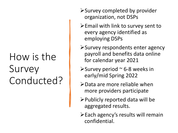# How is the Survey Conducted?

- ➢Survey completed by provider organization, not DSPs
- ➢Email with link to survey sent to every agency identified as employing DSPs
- ➢Survey respondents enter agency payroll and benefits data online for calendar year 2021
- $\triangleright$  Survey period  $\sim$  6-8 weeks in early/mid Spring 2022
- ➢Data are more reliable when more providers participate
- ➢Publicly reported data will be aggregated results.
- ➢Each agency's results will remain confidential.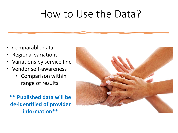# How to Use the Data?

- Comparable data
- Regional variations
- Variations by service line
- Vendor self-awareness
	- Comparison within range of results

**\*\* Published data will be de-identified of provider information\*\***